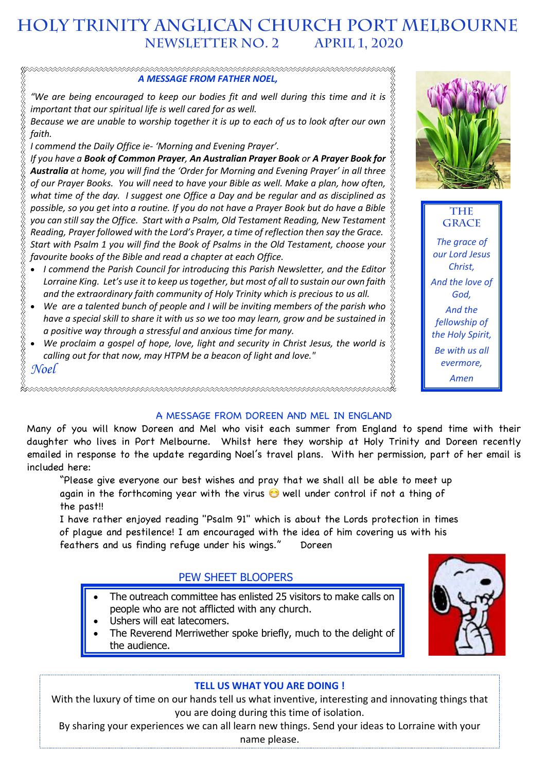# **HOLY TRINITY Anglican church PORT MELBOURNE NEWSLETTER No. 2 APRIL 1, 2020**

\*\*\*\*\*\*\*\*\*\*\*\*\*\*\*\*\*\*\*\*\*\*\*\*\*\*\*\*\*\*\*\*\*\* *A MESSAGE FROM FATHER NOEL, "We are being encouraged to keep our bodies fit and well during this time and it is important that our spiritual life is well cared for as well. Because we are unable to worship together it is up to each of us to look after our own faith. I commend the Daily Office ie- 'Morning and Evening Prayer'. If you have a Book of Common Prayer, An Australian Prayer Book or A Prayer Book for* 

*Australia at home, you will find the 'Order for Morning and Evening Prayer' in all three of our Prayer Books. You will need to have your Bible as well. Make a plan, how often, what time of the day. I suggest one Office a Day and be regular and as disciplined as possible, so you get into a routine. If you do not have a Prayer Book but do have a Bible you can still say the Office. Start with a Psalm, Old Testament Reading, New Testament Reading, Prayer followed with the Lord's Prayer, a time of reflection then say the Grace. Start with Psalm 1 you will find the Book of Psalms in the Old Testament, choose your favourite books of the Bible and read a chapter at each Office.*

- *I commend the Parish Council for introducing this Parish Newsletter, and the Editor Lorraine King. Let's use it to keep us together, but most of all to sustain our own faith and the extraordinary faith community of Holy Trinity which is precious to us all.*
- *We are a talented bunch of people and I will be inviting members of the parish who have a special skill to share it with us so we too may learn, grow and be sustained in a positive way through a stressful and anxious time for many.*
- *We proclaim a gospel of hope, love, light and security in Christ Jesus, the world is calling out for that now, may HTPM be a beacon of light and love." Noel*



**The** 

**grace** *The grace of our Lord Jesus Christ, And the love of God, And the fellowship of the Holy Spirit, Be with us all evermore, Amen*

## A MESSAGE FROM DOREEN AND MEL IN ENGLAND

Many of you will know Doreen and Mel who visit each summer from England to spend time with their daughter who lives in Port Melbourne. Whilst here they worship at Holy Trinity and Doreen recently emailed in response to the update regarding Noel's travel plans. With her permission, part of her email is included here:

"Please give everyone our best wishes and pray that we shall all be able to meet up again in the forthcoming year with the virus  $\bigodot$  well under control if not a thing of the past!!

I have rather enjoyed reading "Psalm 91" which is about the Lords protection in times of plague and pestilence! I am encouraged with the idea of him covering us with his feathers and us finding refuge under his wings." Doreen

## PEW SHEET BLOOPERS

- The outreach committee has enlisted 25 visitors to make calls on people who are not afflicted with any church.
- Ushers will eat latecomers.
- The Reverend Merriwether spoke briefly, much to the delight of the audience.



## **TELL US WHAT YOU ARE DOING !**

With the luxury of time on our hands tell us what inventive, interesting and innovating things that you are doing during this time of isolation.

By sharing your experiences we can all learn new things. Send your ideas to Lorraine with your name please.